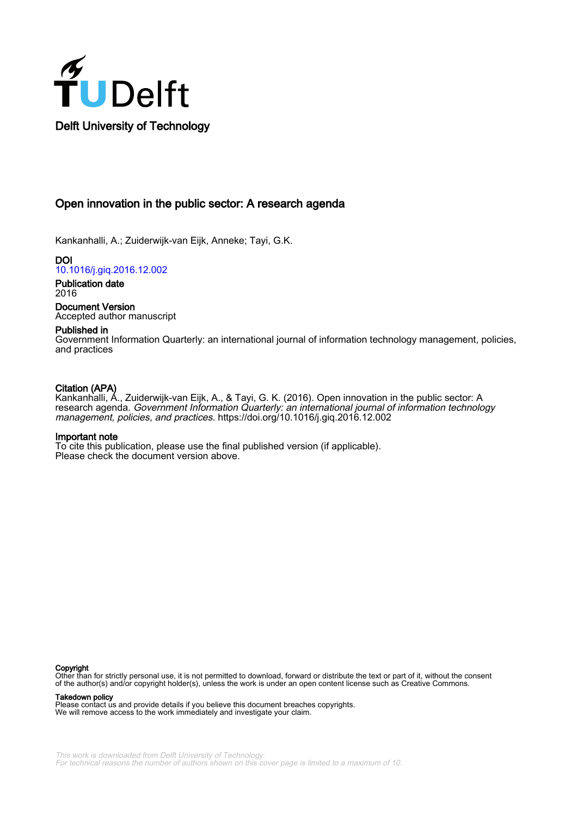

# Open innovation in the public sector: A research agenda

Kankanhalli, A.; Zuiderwijk-van Eijk, Anneke; Tayi, G.K.

**DOI** [10.1016/j.giq.2016.12.002](https://doi.org/10.1016/j.giq.2016.12.002)

Publication date 2016

Document Version Accepted author manuscript

#### Published in

Government Information Quarterly: an international journal of information technology management, policies, and practices

#### Citation (APA)

Kankanhalli, A., Zuiderwijk-van Eijk, A., & Tayi, G. K. (2016). Open innovation in the public sector: A research agenda. Government Information Quarterly: an international journal of information technology management, policies, and practices. <https://doi.org/10.1016/j.giq.2016.12.002>

#### Important note

To cite this publication, please use the final published version (if applicable). Please check the document version above.

#### Copyright

Other than for strictly personal use, it is not permitted to download, forward or distribute the text or part of it, without the consent of the author(s) and/or copyright holder(s), unless the work is under an open content license such as Creative Commons.

Takedown policy

Please contact us and provide details if you believe this document breaches copyrights. We will remove access to the work immediately and investigate your claim.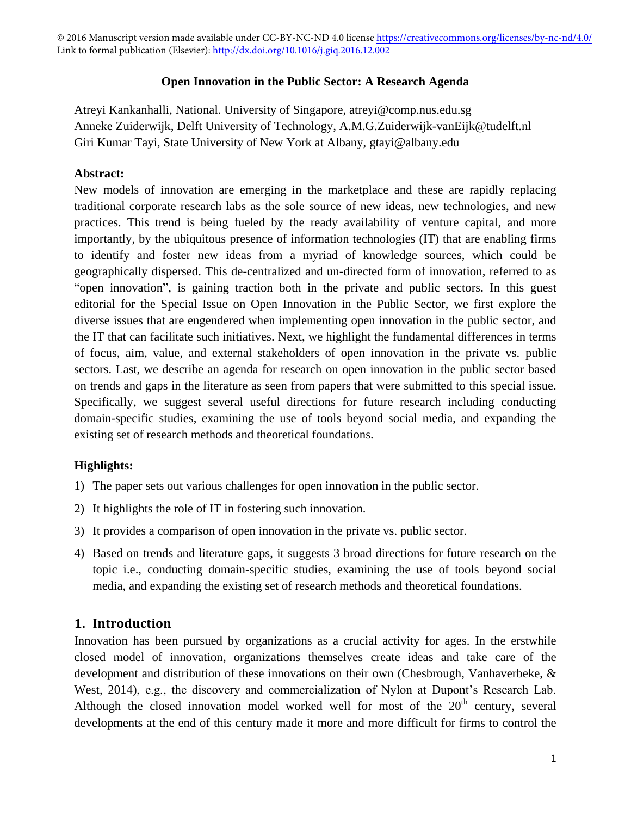© 2016 Manuscript version made available under CC-BY-NC-ND 4.0 license https://creativecommons.org/licenses/by-nc-nd/4.0/ Link to formal publication (Elsevier): http://dx.doi.org/10.1016/j.giq.2016.12.002

#### **Open Innovation in the Public Sector: A Research Agenda**

Atreyi Kankanhalli, National. University of Singapore, atreyi@comp.nus.edu.sg Anneke Zuiderwijk, Delft University of Technology, A.M.G.Zuiderwijk-vanEijk@tudelft.nl Giri Kumar Tayi, State University of New York at Albany, gtayi@albany.edu

#### **Abstract:**

New models of innovation are emerging in the marketplace and these are rapidly replacing traditional corporate research labs as the sole source of new ideas, new technologies, and new practices. This trend is being fueled by the ready availability of venture capital, and more importantly, by the ubiquitous presence of information technologies (IT) that are enabling firms to identify and foster new ideas from a myriad of knowledge sources, which could be geographically dispersed. This de-centralized and un-directed form of innovation, referred to as "open innovation", is gaining traction both in the private and public sectors. In this guest editorial for the Special Issue on Open Innovation in the Public Sector, we first explore the diverse issues that are engendered when implementing open innovation in the public sector, and the IT that can facilitate such initiatives. Next, we highlight the fundamental differences in terms of focus, aim, value, and external stakeholders of open innovation in the private vs. public sectors. Last, we describe an agenda for research on open innovation in the public sector based on trends and gaps in the literature as seen from papers that were submitted to this special issue. Specifically, we suggest several useful directions for future research including conducting domain-specific studies, examining the use of tools beyond social media, and expanding the existing set of research methods and theoretical foundations.

## **Highlights:**

- 1) The paper sets out various challenges for open innovation in the public sector.
- 2) It highlights the role of IT in fostering such innovation.
- 3) It provides a comparison of open innovation in the private vs. public sector.
- 4) Based on trends and literature gaps, it suggests 3 broad directions for future research on the topic i.e., conducting domain-specific studies, examining the use of tools beyond social media, and expanding the existing set of research methods and theoretical foundations.

## **1. Introduction**

Innovation has been pursued by organizations as a crucial activity for ages. In the erstwhile closed model of innovation, organizations themselves create ideas and take care of the development and distribution of these innovations on their own (Chesbrough, Vanhaverbeke, & West, 2014), e.g., the discovery and commercialization of Nylon at Dupont's Research Lab. Although the closed innovation model worked well for most of the  $20<sup>th</sup>$  century, several developments at the end of this century made it more and more difficult for firms to control the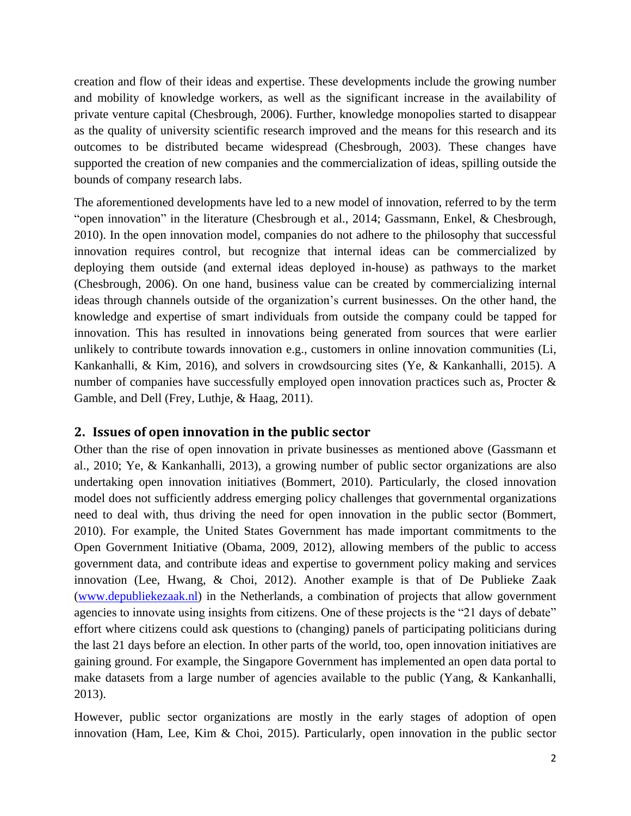creation and flow of their ideas and expertise. These developments include the growing number and mobility of knowledge workers, as well as the significant increase in the availability of private venture capital (Chesbrough, 2006). Further, knowledge monopolies started to disappear as the quality of university scientific research improved and the means for this research and its outcomes to be distributed became widespread (Chesbrough, 2003). These changes have supported the creation of new companies and the commercialization of ideas, spilling outside the bounds of company research labs.

The aforementioned developments have led to a new model of innovation, referred to by the term "open innovation" in the literature (Chesbrough et al., 2014; Gassmann, Enkel, & Chesbrough, 2010). In the open innovation model, companies do not adhere to the philosophy that successful innovation requires control, but recognize that internal ideas can be commercialized by deploying them outside (and external ideas deployed in-house) as pathways to the market (Chesbrough, 2006). On one hand, business value can be created by commercializing internal ideas through channels outside of the organization's current businesses. On the other hand, the knowledge and expertise of smart individuals from outside the company could be tapped for innovation. This has resulted in innovations being generated from sources that were earlier unlikely to contribute towards innovation e.g., customers in online innovation communities (Li, Kankanhalli, & Kim, 2016), and solvers in crowdsourcing sites (Ye, & Kankanhalli, 2015). A number of companies have successfully employed open innovation practices such as, Procter & Gamble, and Dell (Frey, Luthje, & Haag, 2011).

## **2. Issues of open innovation in the public sector**

Other than the rise of open innovation in private businesses as mentioned above (Gassmann et al., 2010; Ye, & Kankanhalli, 2013), a growing number of public sector organizations are also undertaking open innovation initiatives (Bommert, 2010). Particularly, the closed innovation model does not sufficiently address emerging policy challenges that governmental organizations need to deal with, thus driving the need for open innovation in the public sector (Bommert, 2010). For example, the United States Government has made important commitments to the Open Government Initiative (Obama, 2009, 2012), allowing members of the public to access government data, and contribute ideas and expertise to government policy making and services innovation (Lee, Hwang, & Choi, 2012). Another example is that of De Publieke Zaak [\(www.depubliekezaak.nl\)](http://www.depubliekezaak.nl/) in the Netherlands, a combination of projects that allow government agencies to innovate using insights from citizens. One of these projects is the "21 days of debate" effort where citizens could ask questions to (changing) panels of participating politicians during the last 21 days before an election. In other parts of the world, too, open innovation initiatives are gaining ground. For example, the Singapore Government has implemented an open data portal to make datasets from a large number of agencies available to the public (Yang, & Kankanhalli, 2013).

However, public sector organizations are mostly in the early stages of adoption of open innovation (Ham, Lee, Kim & Choi, 2015). Particularly, open innovation in the public sector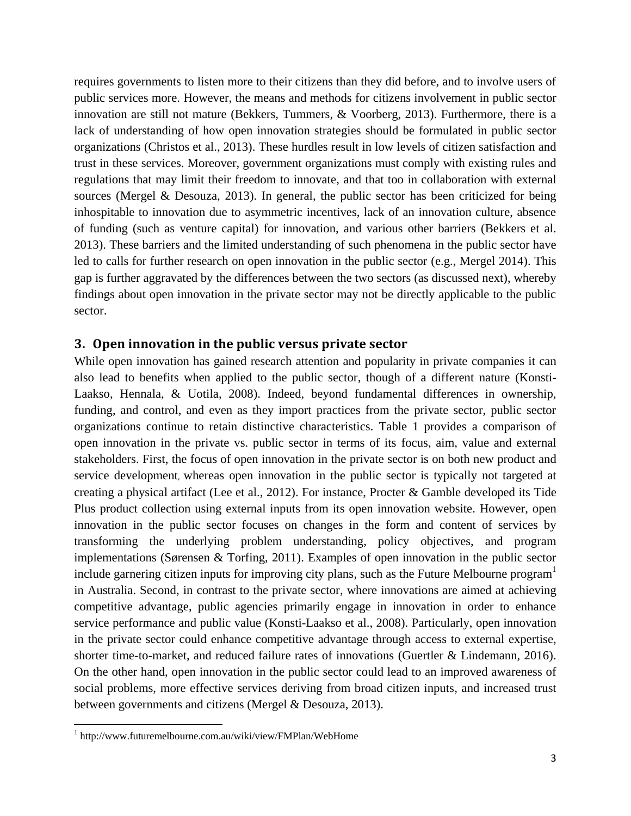requires governments to listen more to their citizens than they did before, and to involve users of public services more. However, the means and methods for citizens involvement in public sector innovation are still not mature (Bekkers, Tummers, & Voorberg, 2013). Furthermore, there is a lack of understanding of how open innovation strategies should be formulated in public sector organizations (Christos et al., 2013). These hurdles result in low levels of citizen satisfaction and trust in these services. Moreover, government organizations must comply with existing rules and regulations that may limit their freedom to innovate, and that too in collaboration with external sources (Mergel & Desouza, 2013). In general, the public sector has been criticized for being inhospitable to innovation due to asymmetric incentives, lack of an innovation culture, absence of funding (such as venture capital) for innovation, and various other barriers (Bekkers et al. 2013). These barriers and the limited understanding of such phenomena in the public sector have led to calls for further research on open innovation in the public sector (e.g., Mergel 2014). This gap is further aggravated by the differences between the two sectors (as discussed next), whereby findings about open innovation in the private sector may not be directly applicable to the public sector.

#### **3. Open innovation in the public versus private sector**

While open innovation has gained research attention and popularity in private companies it can also lead to benefits when applied to the public sector, though of a different nature (Konsti-Laakso, Hennala, & Uotila, 2008). Indeed, beyond fundamental differences in ownership, funding, and control, and even as they import practices from the private sector, public sector organizations continue to retain distinctive characteristics. Table 1 provides a comparison of open innovation in the private vs. public sector in terms of its focus, aim, value and external stakeholders. First, the focus of open innovation in the private sector is on both new product and service development, whereas open innovation in the public sector is typically not targeted at creating a physical artifact (Lee et al., 2012). For instance, Procter & Gamble developed its Tide Plus product collection using external inputs from its open innovation website. However, open innovation in the public sector focuses on changes in the form and content of services by transforming the underlying problem understanding, policy objectives, and program implementations (Sørensen & Torfing, 2011). Examples of open innovation in the public sector include garnering citizen inputs for improving city plans, such as the Future Melbourne program<sup>1</sup> in Australia. Second, in contrast to the private sector, where innovations are aimed at achieving competitive advantage, public agencies primarily engage in innovation in order to enhance service performance and public value (Konsti-Laakso et al., 2008). Particularly, open innovation in the private sector could enhance competitive advantage through access to external expertise, shorter time-to-market, and reduced failure rates of innovations (Guertler & Lindemann, 2016). On the other hand, open innovation in the public sector could lead to an improved awareness of social problems, more effective services deriving from broad citizen inputs, and increased trust between governments and citizens (Mergel & Desouza, 2013).

 $\overline{\phantom{a}}$ 

<sup>&</sup>lt;sup>1</sup> http://www.futuremelbourne.com.au/wiki/view/FMPlan/WebHome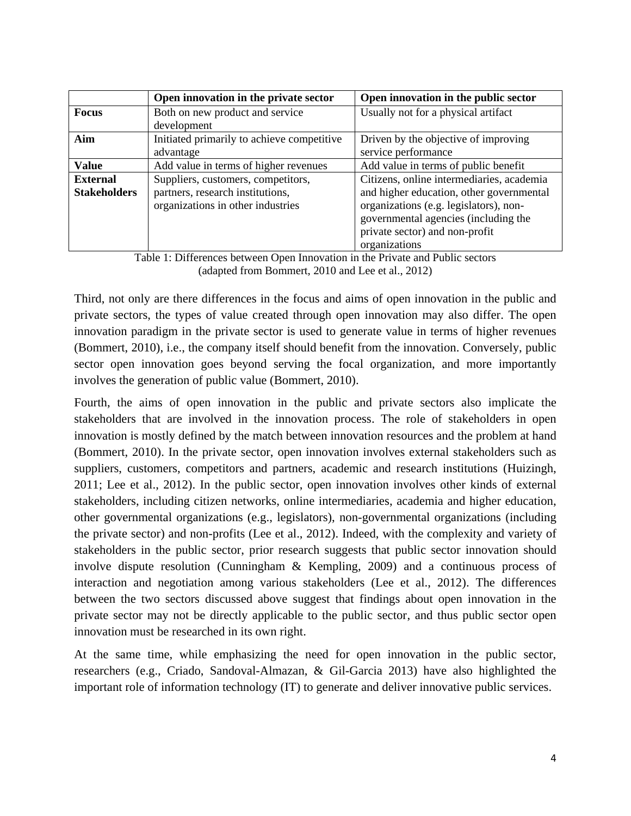|                     | Open innovation in the private sector      | Open innovation in the public sector      |
|---------------------|--------------------------------------------|-------------------------------------------|
| <b>Focus</b>        | Both on new product and service            | Usually not for a physical artifact       |
|                     | development                                |                                           |
| Aim                 | Initiated primarily to achieve competitive | Driven by the objective of improving      |
|                     | advantage                                  | service performance                       |
| <b>Value</b>        | Add value in terms of higher revenues      | Add value in terms of public benefit      |
| <b>External</b>     | Suppliers, customers, competitors,         | Citizens, online intermediaries, academia |
| <b>Stakeholders</b> | partners, research institutions,           | and higher education, other governmental  |
|                     | organizations in other industries          | organizations (e.g. legislators), non-    |
|                     |                                            | governmental agencies (including the      |
|                     |                                            | private sector) and non-profit            |
|                     |                                            | organizations                             |

Table 1: Differences between Open Innovation in the Private and Public sectors (adapted from Bommert, 2010 and Lee et al., 2012)

Third, not only are there differences in the focus and aims of open innovation in the public and private sectors, the types of value created through open innovation may also differ. The open innovation paradigm in the private sector is used to generate value in terms of higher revenues (Bommert, 2010), i.e., the company itself should benefit from the innovation. Conversely, public sector open innovation goes beyond serving the focal organization, and more importantly involves the generation of public value (Bommert, 2010).

Fourth, the aims of open innovation in the public and private sectors also implicate the stakeholders that are involved in the innovation process. The role of stakeholders in open innovation is mostly defined by the match between innovation resources and the problem at hand (Bommert, 2010). In the private sector, open innovation involves external stakeholders such as suppliers, customers, competitors and partners, academic and research institutions (Huizingh, 2011; Lee et al., 2012). In the public sector, open innovation involves other kinds of external stakeholders, including citizen networks, online intermediaries, academia and higher education, other governmental organizations (e.g., legislators), non-governmental organizations (including the private sector) and non-profits (Lee et al., 2012). Indeed, with the complexity and variety of stakeholders in the public sector, prior research suggests that public sector innovation should involve dispute resolution (Cunningham & Kempling, 2009) and a continuous process of interaction and negotiation among various stakeholders (Lee et al., 2012). The differences between the two sectors discussed above suggest that findings about open innovation in the private sector may not be directly applicable to the public sector, and thus public sector open innovation must be researched in its own right.

At the same time, while emphasizing the need for open innovation in the public sector, researchers (e.g., Criado, Sandoval-Almazan, & Gil-Garcia 2013) have also highlighted the important role of information technology (IT) to generate and deliver innovative public services.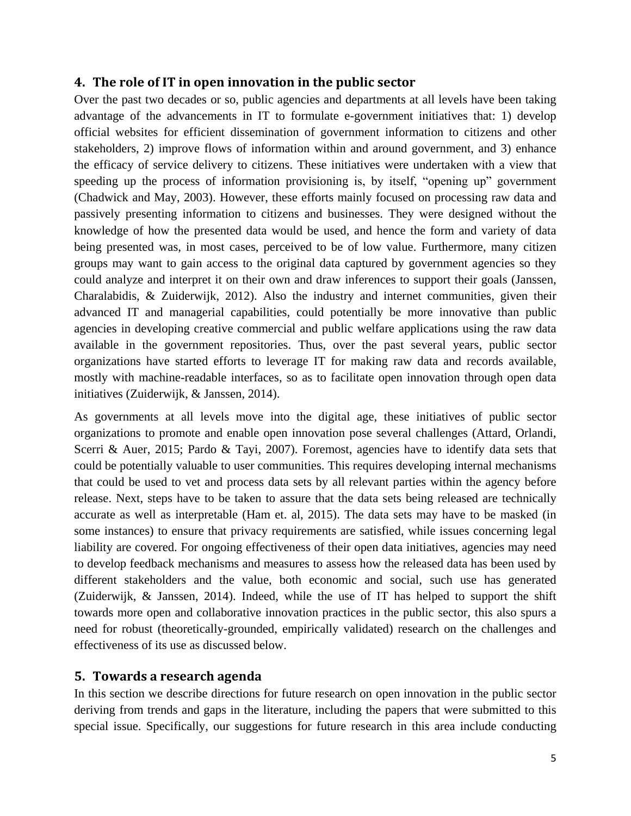# **4. The role of IT in open innovation in the public sector**

Over the past two decades or so, public agencies and departments at all levels have been taking advantage of the advancements in IT to formulate e-government initiatives that: 1) develop official websites for efficient dissemination of government information to citizens and other stakeholders, 2) improve flows of information within and around government, and 3) enhance the efficacy of service delivery to citizens. These initiatives were undertaken with a view that speeding up the process of information provisioning is, by itself, "opening up" government (Chadwick and May, 2003). However, these efforts mainly focused on processing raw data and passively presenting information to citizens and businesses. They were designed without the knowledge of how the presented data would be used, and hence the form and variety of data being presented was, in most cases, perceived to be of low value. Furthermore, many citizen groups may want to gain access to the original data captured by government agencies so they could analyze and interpret it on their own and draw inferences to support their goals (Janssen, Charalabidis, & Zuiderwijk, 2012). Also the industry and internet communities, given their advanced IT and managerial capabilities, could potentially be more innovative than public agencies in developing creative commercial and public welfare applications using the raw data available in the government repositories. Thus, over the past several years, public sector organizations have started efforts to leverage IT for making raw data and records available, mostly with machine-readable interfaces, so as to facilitate open innovation through open data initiatives (Zuiderwijk, & Janssen, 2014).

As governments at all levels move into the digital age, these initiatives of public sector organizations to promote and enable open innovation pose several challenges (Attard, Orlandi, Scerri & Auer, 2015; Pardo & Tayi, 2007). Foremost, agencies have to identify data sets that could be potentially valuable to user communities. This requires developing internal mechanisms that could be used to vet and process data sets by all relevant parties within the agency before release. Next, steps have to be taken to assure that the data sets being released are technically accurate as well as interpretable (Ham et. al, 2015). The data sets may have to be masked (in some instances) to ensure that privacy requirements are satisfied, while issues concerning legal liability are covered. For ongoing effectiveness of their open data initiatives, agencies may need to develop feedback mechanisms and measures to assess how the released data has been used by different stakeholders and the value, both economic and social, such use has generated (Zuiderwijk, & Janssen, 2014). Indeed, while the use of IT has helped to support the shift towards more open and collaborative innovation practices in the public sector, this also spurs a need for robust (theoretically-grounded, empirically validated) research on the challenges and effectiveness of its use as discussed below.

# **5. Towards a research agenda**

In this section we describe directions for future research on open innovation in the public sector deriving from trends and gaps in the literature, including the papers that were submitted to this special issue. Specifically, our suggestions for future research in this area include conducting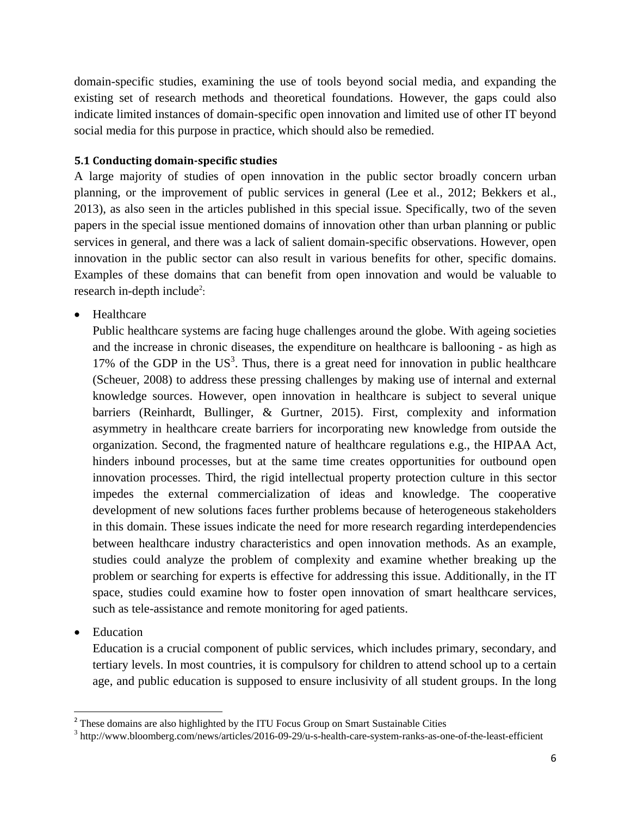domain-specific studies, examining the use of tools beyond social media, and expanding the existing set of research methods and theoretical foundations. However, the gaps could also indicate limited instances of domain-specific open innovation and limited use of other IT beyond social media for this purpose in practice, which should also be remedied.

#### **5.1 Conducting domain-specific studies**

A large majority of studies of open innovation in the public sector broadly concern urban planning, or the improvement of public services in general (Lee et al., 2012; Bekkers et al., 2013), as also seen in the articles published in this special issue. Specifically, two of the seven papers in the special issue mentioned domains of innovation other than urban planning or public services in general, and there was a lack of salient domain-specific observations. However, open innovation in the public sector can also result in various benefits for other, specific domains. Examples of these domains that can benefit from open innovation and would be valuable to research in-depth include<sup>2</sup>:

Healthcare

Public healthcare systems are facing huge challenges around the globe. With ageing societies and the increase in chronic diseases, the expenditure on healthcare is ballooning - as high as 17% of the GDP in the  $US<sup>3</sup>$ . Thus, there is a great need for innovation in public healthcare (Scheuer, 2008) to address these pressing challenges by making use of internal and external knowledge sources. However, open innovation in healthcare is subject to several unique barriers (Reinhardt, Bullinger, & Gurtner, 2015). First, complexity and information asymmetry in healthcare create barriers for incorporating new knowledge from outside the organization. Second, the fragmented nature of healthcare regulations e.g., the HIPAA Act, hinders inbound processes, but at the same time creates opportunities for outbound open innovation processes. Third, the rigid intellectual property protection culture in this sector impedes the external commercialization of ideas and knowledge. The cooperative development of new solutions faces further problems because of heterogeneous stakeholders in this domain. These issues indicate the need for more research regarding interdependencies between healthcare industry characteristics and open innovation methods. As an example, studies could analyze the problem of complexity and examine whether breaking up the problem or searching for experts is effective for addressing this issue. Additionally, in the IT space, studies could examine how to foster open innovation of smart healthcare services, such as tele-assistance and remote monitoring for aged patients.

Education

Education is a crucial component of public services, which includes primary, secondary, and tertiary levels. In most countries, it is compulsory for children to attend school up to a certain age, and public education is supposed to ensure inclusivity of all student groups. In the long

<sup>&</sup>lt;sup>2</sup> These domains are also highlighted by the ITU Focus Group on Smart Sustainable Cities

<sup>&</sup>lt;sup>3</sup> http://www.bloomberg.com/news/articles/2016-09-29/u-s-health-care-system-ranks-as-one-of-the-least-efficient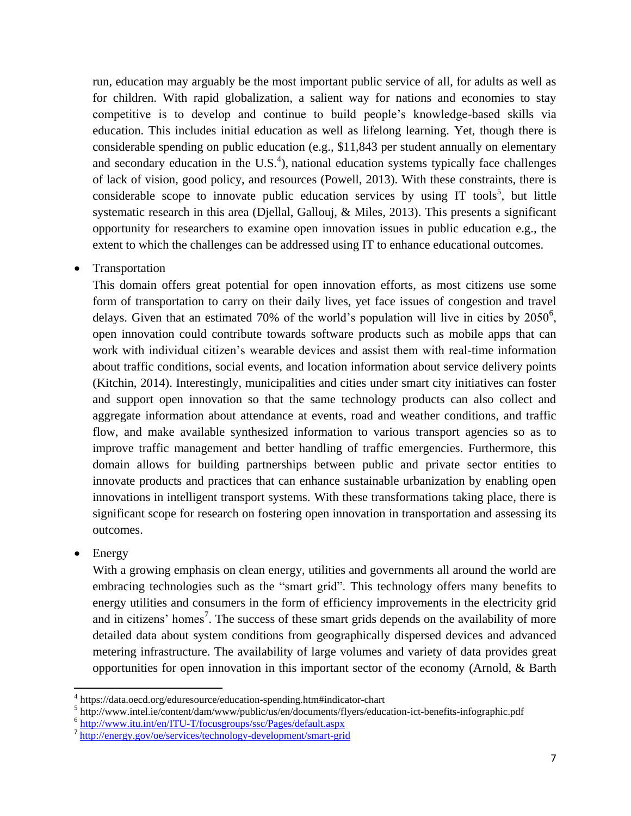run, education may arguably be the most important public service of all, for adults as well as for children. With rapid globalization, a salient way for nations and economies to stay competitive is to develop and continue to build people's knowledge-based skills via education. This includes initial education as well as lifelong learning. Yet, though there is considerable spending on public education (e.g., \$11,843 per student annually on elementary and secondary education in the U.S.<sup>4</sup>), national education systems typically face challenges of lack of vision, good policy, and resources (Powell, 2013). With these constraints, there is considerable scope to innovate public education services by using IT tools<sup>5</sup>, but little systematic research in this area (Djellal, Gallouj, & Miles, 2013). This presents a significant opportunity for researchers to examine open innovation issues in public education e.g., the extent to which the challenges can be addressed using IT to enhance educational outcomes.

Transportation

This domain offers great potential for open innovation efforts, as most citizens use some form of transportation to carry on their daily lives, yet face issues of congestion and travel delays. Given that an estimated 70% of the world's population will live in cities by  $2050^6$ , open innovation could contribute towards software products such as mobile apps that can work with individual citizen's wearable devices and assist them with real-time information about traffic conditions, social events, and location information about service delivery points (Kitchin, 2014). Interestingly, municipalities and cities under smart city initiatives can foster and support open innovation so that the same technology products can also collect and aggregate information about attendance at events, road and weather conditions, and traffic flow, and make available synthesized information to various transport agencies so as to improve traffic management and better handling of traffic emergencies. Furthermore, this domain allows for building partnerships between public and private sector entities to innovate products and practices that can enhance sustainable urbanization by enabling open innovations in intelligent transport systems. With these transformations taking place, there is significant scope for research on fostering open innovation in transportation and assessing its outcomes.

• Energy

 $\overline{a}$ 

With a growing emphasis on clean energy, utilities and governments all around the world are embracing technologies such as the "smart grid". This technology offers many benefits to energy utilities and consumers in the form of efficiency improvements in the electricity grid and in citizens' homes<sup>7</sup>. The success of these smart grids depends on the availability of more detailed data about system conditions from geographically dispersed devices and advanced metering infrastructure. The availability of large volumes and variety of data provides great opportunities for open innovation in this important sector of the economy (Arnold, & Barth

<sup>&</sup>lt;sup>4</sup> https://data.oecd.org/eduresource/education-spending.htm#indicator-chart

<sup>&</sup>lt;sup>5</sup> http://www.intel.ie/content/dam/www/public/us/en/documents/flyers/education-ict-benefits-infographic.pdf

<sup>6</sup> <http://www.itu.int/en/ITU-T/focusgroups/ssc/Pages/default.aspx>

<sup>&</sup>lt;sup>7</sup> <http://energy.gov/oe/services/technology-development/smart-grid>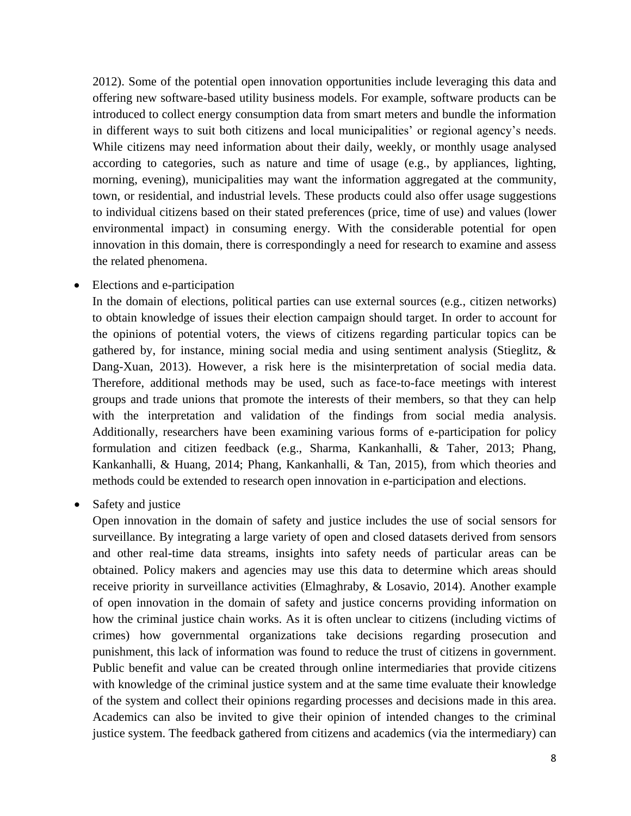2012). Some of the potential open innovation opportunities include leveraging this data and offering new software-based utility business models. For example, software products can be introduced to collect energy consumption data from smart meters and bundle the information in different ways to suit both citizens and local municipalities' or regional agency's needs. While citizens may need information about their daily, weekly, or monthly usage analysed according to categories, such as nature and time of usage (e.g., by appliances, lighting, morning, evening), municipalities may want the information aggregated at the community, town, or residential, and industrial levels. These products could also offer usage suggestions to individual citizens based on their stated preferences (price, time of use) and values (lower environmental impact) in consuming energy. With the considerable potential for open innovation in this domain, there is correspondingly a need for research to examine and assess the related phenomena.

Elections and e-participation

In the domain of elections, political parties can use external sources (e.g., citizen networks) to obtain knowledge of issues their election campaign should target. In order to account for the opinions of potential voters, the views of citizens regarding particular topics can be gathered by, for instance, mining social media and using sentiment analysis (Stieglitz,  $\&$ Dang-Xuan, 2013). However, a risk here is the misinterpretation of social media data. Therefore, additional methods may be used, such as face-to-face meetings with interest groups and trade unions that promote the interests of their members, so that they can help with the interpretation and validation of the findings from social media analysis. Additionally, researchers have been examining various forms of e-participation for policy formulation and citizen feedback (e.g., Sharma, Kankanhalli, & Taher, 2013; Phang, Kankanhalli, & Huang, 2014; Phang, Kankanhalli, & Tan, 2015), from which theories and methods could be extended to research open innovation in e-participation and elections.

• Safety and justice

Open innovation in the domain of safety and justice includes the use of social sensors for surveillance. By integrating a large variety of open and closed datasets derived from sensors and other real-time data streams, insights into safety needs of particular areas can be obtained. Policy makers and agencies may use this data to determine which areas should receive priority in surveillance activities (Elmaghraby, & Losavio, 2014). Another example of open innovation in the domain of safety and justice concerns providing information on how the criminal justice chain works. As it is often unclear to citizens (including victims of crimes) how governmental organizations take decisions regarding prosecution and punishment, this lack of information was found to reduce the trust of citizens in government. Public benefit and value can be created through online intermediaries that provide citizens with knowledge of the criminal justice system and at the same time evaluate their knowledge of the system and collect their opinions regarding processes and decisions made in this area. Academics can also be invited to give their opinion of intended changes to the criminal justice system. The feedback gathered from citizens and academics (via the intermediary) can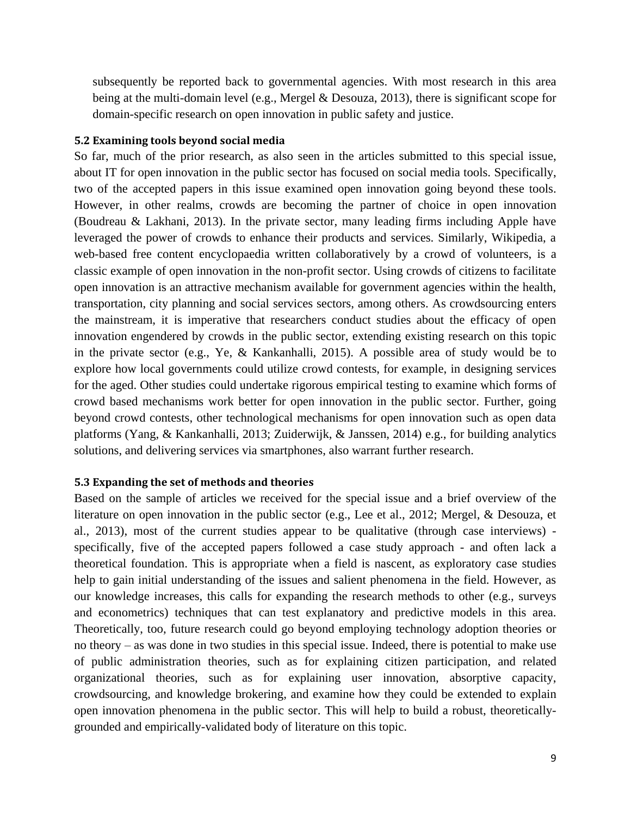subsequently be reported back to governmental agencies. With most research in this area being at the multi-domain level (e.g., Mergel & Desouza, 2013), there is significant scope for domain-specific research on open innovation in public safety and justice.

#### **5.2 Examining tools beyond social media**

So far, much of the prior research, as also seen in the articles submitted to this special issue, about IT for open innovation in the public sector has focused on social media tools. Specifically, two of the accepted papers in this issue examined open innovation going beyond these tools. However, in other realms, crowds are becoming the partner of choice in open innovation (Boudreau & Lakhani, 2013). In the private sector, many leading firms including Apple have leveraged the power of crowds to enhance their products and services. Similarly, Wikipedia, a web-based free content encyclopaedia written collaboratively by a crowd of volunteers, is a classic example of open innovation in the non-profit sector. Using crowds of citizens to facilitate open innovation is an attractive mechanism available for government agencies within the health, transportation, city planning and social services sectors, among others. As crowdsourcing enters the mainstream, it is imperative that researchers conduct studies about the efficacy of open innovation engendered by crowds in the public sector, extending existing research on this topic in the private sector (e.g., Ye, & Kankanhalli, 2015). A possible area of study would be to explore how local governments could utilize crowd contests, for example, in designing services for the aged. Other studies could undertake rigorous empirical testing to examine which forms of crowd based mechanisms work better for open innovation in the public sector. Further, going beyond crowd contests, other technological mechanisms for open innovation such as open data platforms (Yang, & Kankanhalli, 2013; Zuiderwijk, & Janssen, 2014) e.g., for building analytics solutions, and delivering services via smartphones, also warrant further research.

#### **5.3 Expanding the set of methods and theories**

Based on the sample of articles we received for the special issue and a brief overview of the literature on open innovation in the public sector (e.g., Lee et al., 2012; Mergel, & Desouza, et al., 2013), most of the current studies appear to be qualitative (through case interviews) specifically, five of the accepted papers followed a case study approach - and often lack a theoretical foundation. This is appropriate when a field is nascent, as exploratory case studies help to gain initial understanding of the issues and salient phenomena in the field. However, as our knowledge increases, this calls for expanding the research methods to other (e.g., surveys and econometrics) techniques that can test explanatory and predictive models in this area. Theoretically, too, future research could go beyond employing technology adoption theories or no theory – as was done in two studies in this special issue. Indeed, there is potential to make use of public administration theories, such as for explaining citizen participation, and related organizational theories, such as for explaining user innovation, absorptive capacity, crowdsourcing, and knowledge brokering, and examine how they could be extended to explain open innovation phenomena in the public sector. This will help to build a robust, theoreticallygrounded and empirically-validated body of literature on this topic.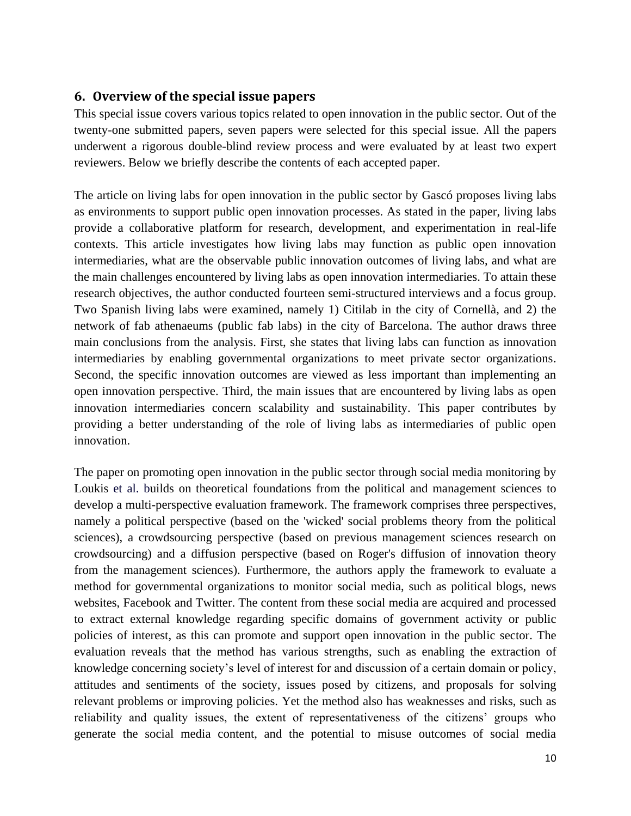# **6. Overview of the special issue papers**

This special issue covers various topics related to open innovation in the public sector. Out of the twenty-one submitted papers, seven papers were selected for this special issue. All the papers underwent a rigorous double-blind review process and were evaluated by at least two expert reviewers. Below we briefly describe the contents of each accepted paper.

The article on living labs for open innovation in the public sector by Gascó proposes living labs as environments to support public open innovation processes. As stated in the paper, living labs provide a collaborative platform for research, development, and experimentation in real-life contexts. This article investigates how living labs may function as public open innovation intermediaries, what are the observable public innovation outcomes of living labs, and what are the main challenges encountered by living labs as open innovation intermediaries. To attain these research objectives, the author conducted fourteen semi-structured interviews and a focus group. Two Spanish living labs were examined, namely 1) Citilab in the city of Cornellà, and 2) the network of fab athenaeums (public fab labs) in the city of Barcelona. The author draws three main conclusions from the analysis. First, she states that living labs can function as innovation intermediaries by enabling governmental organizations to meet private sector organizations. Second, the specific innovation outcomes are viewed as less important than implementing an open innovation perspective. Third, the main issues that are encountered by living labs as open innovation intermediaries concern scalability and sustainability. This paper contributes by providing a better understanding of the role of living labs as intermediaries of public open innovation.

The paper on promoting open innovation in the public sector through social media monitoring by Loukis et al. builds on theoretical foundations from the political and management sciences to develop a multi-perspective evaluation framework. The framework comprises three perspectives, namely a political perspective (based on the 'wicked' social problems theory from the political sciences), a crowdsourcing perspective (based on previous management sciences research on crowdsourcing) and a diffusion perspective (based on Roger's diffusion of innovation theory from the management sciences). Furthermore, the authors apply the framework to evaluate a method for governmental organizations to monitor social media, such as political blogs, news websites, Facebook and Twitter. The content from these social media are acquired and processed to extract external knowledge regarding specific domains of government activity or public policies of interest, as this can promote and support open innovation in the public sector. The evaluation reveals that the method has various strengths, such as enabling the extraction of knowledge concerning society's level of interest for and discussion of a certain domain or policy, attitudes and sentiments of the society, issues posed by citizens, and proposals for solving relevant problems or improving policies. Yet the method also has weaknesses and risks, such as reliability and quality issues, the extent of representativeness of the citizens' groups who generate the social media content, and the potential to misuse outcomes of social media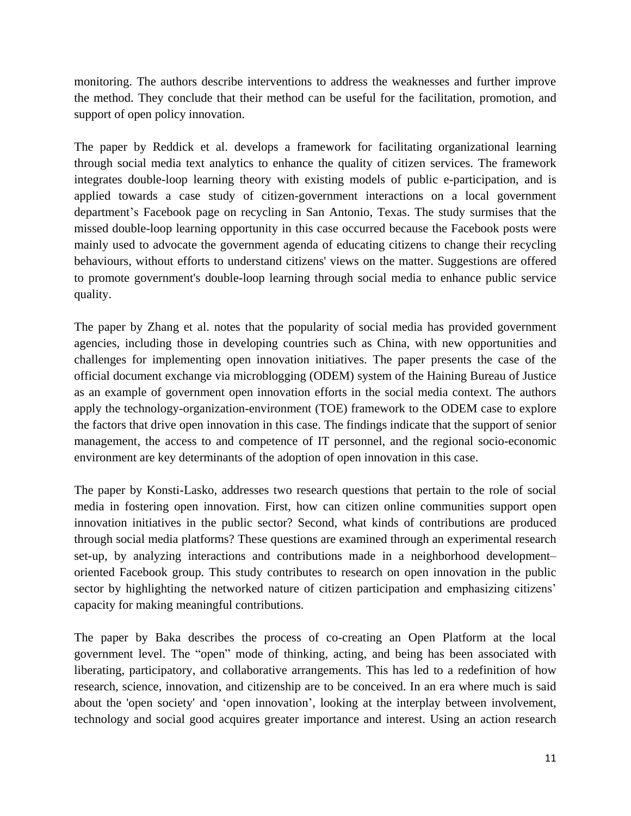monitoring. The authors describe interventions to address the weaknesses and further improve the method. They conclude that their method can be useful for the facilitation, promotion, and support of open policy innovation.

The paper by Reddick et al. develops a framework for facilitating organizational learning through social media text analytics to enhance the quality of citizen services. The framework integrates double-loop learning theory with existing models of public e-participation, and is applied towards a case study of citizen-government interactions on a local government department's Facebook page on recycling in San Antonio, Texas. The study surmises that the missed double-loop learning opportunity in this case occurred because the Facebook posts were mainly used to advocate the government agenda of educating citizens to change their recycling behaviours, without efforts to understand citizens' views on the matter. Suggestions are offered to promote government's double-loop learning through social media to enhance public service quality.

The paper by Zhang et al. notes that the popularity of social media has provided government agencies, including those in developing countries such as China, with new opportunities and challenges for implementing open innovation initiatives. The paper presents the case of the official document exchange via microblogging (ODEM) system of the Haining Bureau of Justice as an example of government open innovation efforts in the social media context. The authors apply the technology-organization-environment (TOE) framework to the ODEM case to explore the factors that drive open innovation in this case. The findings indicate that the support of senior management, the access to and competence of IT personnel, and the regional socio-economic environment are key determinants of the adoption of open innovation in this case.

The paper by Konsti-Lasko, addresses two research questions that pertain to the role of social media in fostering open innovation. First, how can citizen online communities support open innovation initiatives in the public sector? Second, what kinds of contributions are produced through social media platforms? These questions are examined through an experimental research set-up, by analyzing interactions and contributions made in a neighborhood development– oriented Facebook group. This study contributes to research on open innovation in the public sector by highlighting the networked nature of citizen participation and emphasizing citizens' capacity for making meaningful contributions.

The paper by Baka describes the process of co-creating an Open Platform at the local government level. The "open" mode of thinking, acting, and being has been associated with liberating, participatory, and collaborative arrangements. This has led to a redefinition of how research, science, innovation, and citizenship are to be conceived. In an era where much is said about the 'open society' and 'open innovation', looking at the interplay between involvement, technology and social good acquires greater importance and interest. Using an action research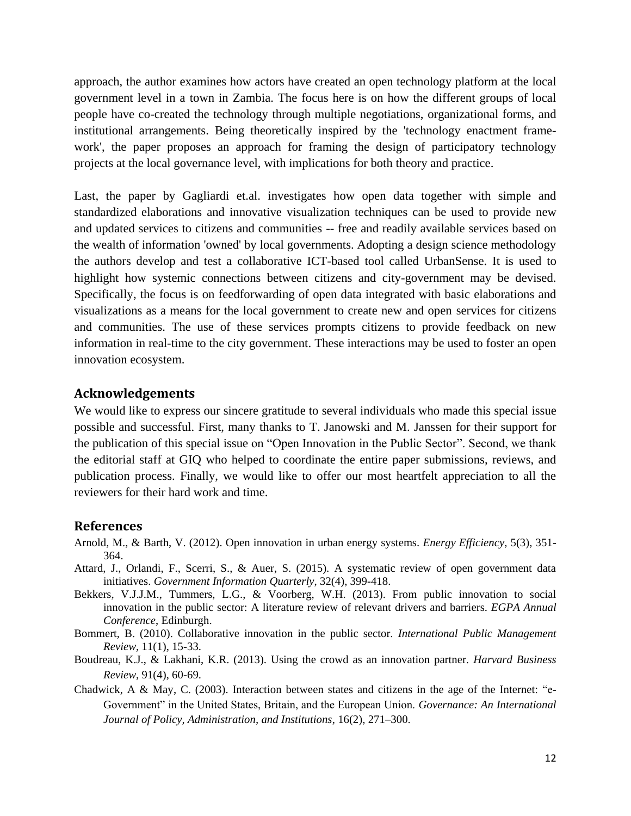approach, the author examines how actors have created an open technology platform at the local government level in a town in Zambia. The focus here is on how the different groups of local people have co-created the technology through multiple negotiations, organizational forms, and institutional arrangements. Being theoretically inspired by the 'technology enactment framework', the paper proposes an approach for framing the design of participatory technology projects at the local governance level, with implications for both theory and practice.

Last, the paper by Gagliardi et.al. investigates how open data together with simple and standardized elaborations and innovative visualization techniques can be used to provide new and updated services to citizens and communities -- free and readily available services based on the wealth of information 'owned' by local governments. Adopting a design science methodology the authors develop and test a collaborative ICT-based tool called UrbanSense. It is used to highlight how systemic connections between citizens and city-government may be devised. Specifically, the focus is on feedforwarding of open data integrated with basic elaborations and visualizations as a means for the local government to create new and open services for citizens and communities. The use of these services prompts citizens to provide feedback on new information in real-time to the city government. These interactions may be used to foster an open innovation ecosystem.

#### **Acknowledgements**

We would like to express our sincere gratitude to several individuals who made this special issue possible and successful. First, many thanks to T. Janowski and M. Janssen for their support for the publication of this special issue on "Open Innovation in the Public Sector". Second, we thank the editorial staff at GIQ who helped to coordinate the entire paper submissions, reviews, and publication process. Finally, we would like to offer our most heartfelt appreciation to all the reviewers for their hard work and time.

#### **References**

- Arnold, M., & Barth, V. (2012). Open innovation in urban energy systems. *Energy Efficiency*, 5(3), 351- 364.
- Attard, J., Orlandi, F., Scerri, S., & Auer, S. (2015). A systematic review of open government data initiatives. *Government Information Quarterly*, 32(4), 399-418.
- Bekkers, V.J.J.M., Tummers, L.G., & Voorberg, W.H. (2013). From public innovation to social innovation in the public sector: A literature review of relevant drivers and barriers. *EGPA Annual Conference*, Edinburgh.
- Bommert, B. (2010). Collaborative innovation in the public sector. *International Public Management Review,* 11(1), 15-33.
- Boudreau, K.J., & Lakhani, K.R. (2013). Using the crowd as an innovation partner. *Harvard Business Review*, 91(4), 60-69.
- Chadwick, A & May, C. (2003). Interaction between states and citizens in the age of the Internet: "e-Government" in the United States, Britain, and the European Union. *Governance: An International Journal of Policy, Administration, and Institutions*, 16(2), 271–300.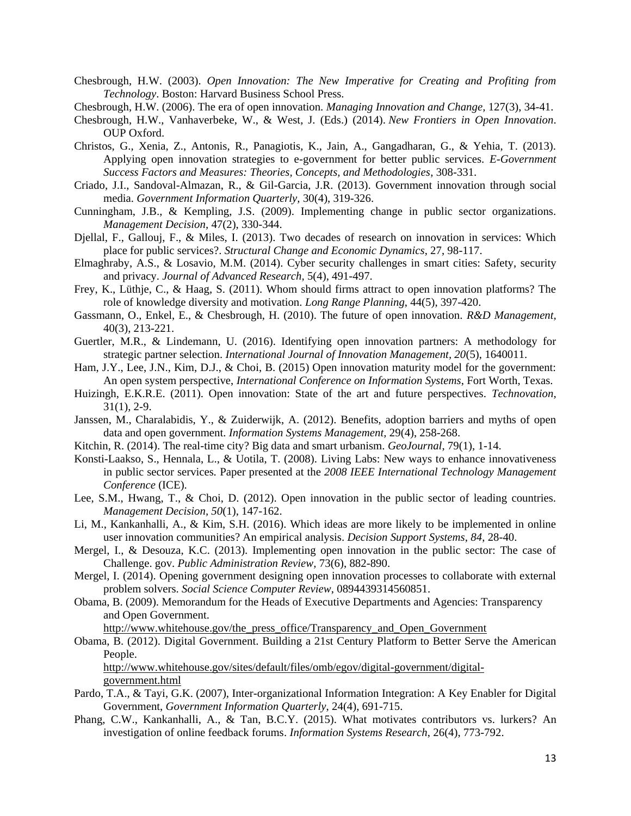- Chesbrough, H.W. (2003). *Open Innovation: The New Imperative for Creating and Profiting from Technology*. Boston: Harvard Business School Press.
- Chesbrough, H.W. (2006). The era of open innovation. *Managing Innovation and Change,* 127(3), 34-41.
- Chesbrough, H.W., Vanhaverbeke, W., & West, J. (Eds.) (2014). *New Frontiers in Open Innovation*. OUP Oxford.
- Christos, G., Xenia, Z., Antonis, R., Panagiotis, K., Jain, A., Gangadharan, G., & Yehia, T. (2013). Applying open innovation strategies to e-government for better public services. *E-Government Success Factors and Measures: Theories, Concepts, and Methodologies*, 308-331.
- Criado, J.I., Sandoval-Almazan, R., & Gil-Garcia, J.R. (2013). Government innovation through social media. *Government Information Quarterly,* 30(4), 319-326.
- Cunningham, J.B., & Kempling, J.S. (2009). Implementing change in public sector organizations. *Management Decision,* 47(2), 330-344.
- Djellal, F., Gallouj, F., & Miles, I. (2013). Two decades of research on innovation in services: Which place for public services?. *Structural Change and Economic Dynamics*, 27, 98-117.
- Elmaghraby, A.S., & Losavio, M.M. (2014). Cyber security challenges in smart cities: Safety, security and privacy. *Journal of Advanced Research,* 5(4), 491-497.
- Frey, K., Lüthje, C., & Haag, S. (2011). Whom should firms attract to open innovation platforms? The role of knowledge diversity and motivation. *Long Range Planning*, 44(5), 397-420.
- Gassmann, O., Enkel, E., & Chesbrough, H. (2010). The future of open innovation. *R&D Management,*  40(3), 213-221.
- Guertler, M.R., & Lindemann, U. (2016). Identifying open innovation partners: A methodology for strategic partner selection. *International Journal of Innovation Management, 20*(5), 1640011.
- Ham, J.Y., Lee, J.N., Kim, D.J., & Choi, B. (2015) Open innovation maturity model for the government: An open system perspective, *International Conference on Information Systems*, Fort Worth, Texas.
- Huizingh, E.K.R.E. (2011). Open innovation: State of the art and future perspectives. *Technovation,*  31(1), 2-9.
- Janssen, M., Charalabidis, Y., & Zuiderwijk, A. (2012). Benefits, adoption barriers and myths of open data and open government. *Information Systems Management,* 29(4), 258-268.
- Kitchin, R. (2014). The real-time city? Big data and smart urbanism. *GeoJournal*, 79(1), 1-14.
- Konsti-Laakso, S., Hennala, L., & Uotila, T. (2008). Living Labs: New ways to enhance innovativeness in public sector services*.* Paper presented at the *2008 IEEE International Technology Management Conference* (ICE).
- Lee, S.M., Hwang, T., & Choi, D. (2012). Open innovation in the public sector of leading countries. *Management Decision, 50*(1), 147-162.
- Li, M., Kankanhalli, A., & Kim, S.H. (2016). Which ideas are more likely to be implemented in online user innovation communities? An empirical analysis. *Decision Support Systems*, *84*, 28-40.
- Mergel, I., & Desouza, K.C. (2013). Implementing open innovation in the public sector: The case of Challenge. gov. *Public Administration Review,* 73(6), 882-890.
- Mergel, I. (2014). Opening government designing open innovation processes to collaborate with external problem solvers. *Social Science Computer Review*, 0894439314560851.
- Obama, B. (2009). Memorandum for the Heads of Executive Departments and Agencies: Transparency and Open Government.

[http://www.whitehouse.gov/the\\_press\\_office/Transparency\\_and\\_Open\\_Government](http://www.whitehouse.gov/the_press_office/Transparency_and_Open_Government)

Obama, B. (2012). Digital Government. Building a 21st Century Platform to Better Serve the American People.

[http://www.whitehouse.gov/sites/default/files/omb/egov/digital-government/digital](http://www.whitehouse.gov/sites/default/files/omb/egov/digital-government/digital-government.html)[government.html](http://www.whitehouse.gov/sites/default/files/omb/egov/digital-government/digital-government.html)

- Pardo, T.A., & Tayi, G.K. (2007), Inter-organizational Information Integration: A Key Enabler for Digital Government, *Government Information Quarterly*, 24(4), 691-715.
- Phang, C.W., Kankanhalli, A., & Tan, B.C.Y. (2015). What motivates contributors vs. lurkers? An investigation of online feedback forums. *Information Systems Research*, 26(4), 773-792.